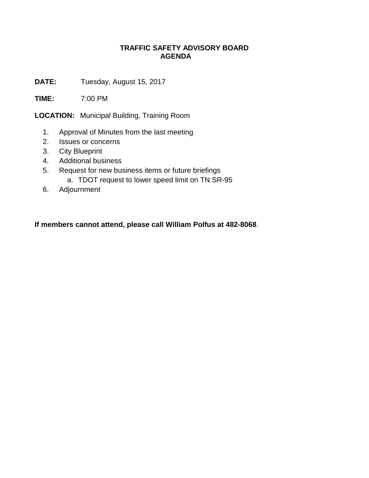## **TRAFFIC SAFETY ADVISORY BOARD AGENDA**

**DATE:** Tuesday, August 15, 2017

**TIME:** 7:00 PM

**LOCATION:** Municipal Building, Training Room

- 1. Approval of Minutes from the last meeting
- 2. Issues or concerns
- 3. City Blueprint
- 4. Additional business
- 5. Request for new business items or future briefings a. TDOT request to lower speed limit on TN SR-95
- 6. Adjournment

**If members cannot attend, please call William Polfus at 482-8068**.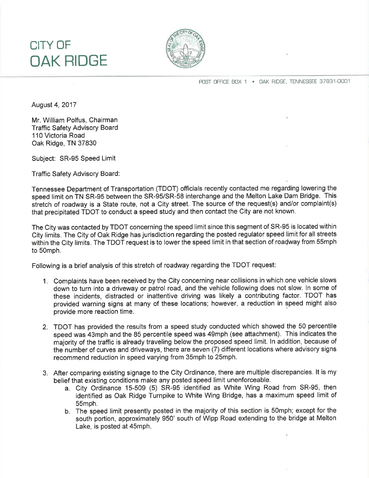## CITY OF OAK RIDGE



POST OFFICE BOX 1 · OAK RIDGE, TENNESSEE 37831-0001

August 4,2017

Mr. William Polfus, Chairman Traffic Safety Advisory Board 110 Victoria Road Oak Ridge, TN 37830

Subject: SR-95 Speed Limit

Traffic Safety Advisory Board:

Tennessee Department of Transportation (TDOT) officials recently contacted me regarding lowering the speed limit on TN SR-95 between the SR-95/SR-58 interchange and the Melton Lake Dam Bridge. This stretch of roadway is a State route, not a City street. The source of the request(s) and/or complaint(s) that precipitated TDOT to conduct a speed study and then contact the City are not known.

The City was contacted by TDOT concerning the speed limit since this segment of SR-95 is located within City limits. The City of Oak Ridge has jurisdiction regarding the posted regulator speed limit for all streets within the City limits. The TDOT request is to lower the speed limit in that section of roadway from 55mph to 50mph.

Following is a brief analysis of this stretch of roadway regarding the TDOT request:

- 1. Complaints have been received by the City concerning near collisions in which one vehicle slows down to turn into a driveway or patrol road, and the vehicle following does not slow. ln some of these incidents, distracted or inattentive driving was likely a contributing factor. TDOT has provided warning signs at many of these locations; however, a reduction in speed might also provide more reaction time.
- 2. TDOT has provided the results from a speed study conducted which showed the 50 percentile speed was 43mph and the 85 percentile speed was 49mph (see attachment). This indicates the majority of the traffic is already traveling below the proposed speed limit. ln addition, because of the number of curves and driveways, there are seven (7) different locations where advisory signs recommend reduction in speed varying from 35mph to 25mph.
- 3. After comparing existing signage to the City Ordinance, there are multiple discrepancies. lt is my belief that existing conditions make any posted speed limit unenforceable.
	- a. City Ordinance 15-509 (5) SR-95 identified as White Wing Road from SR-95, then identified as Oak Ridge Turnpike to White Wing Bridge, has a maximum speed limit of 55mph.
	- b. The speed limit presently posted in the majority of this section is 50mph; except for the south portion, approximately 950' south of Wipp Road extending to the bridge at Melton Lake, is posted at 45mph.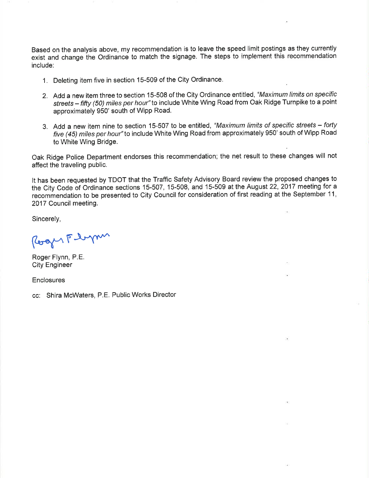Based on the analysis above, my recommendation is to leave the speed limit postings as they currently exist and change the Ordinance to match the signage. The steps to implement this recommendation include:

- 1. Deleting item five in section 15-509 of the City Ordinance.
- 2. Add a new item three to section 15-508 of the City Ordinance entitled, "Maximum limits on specific streets - fifty (50) miles per hour" to include White Wing Road from Oak Ridge Turnpike to a point approximately 950' south of Wipp Road.
- 3. Add a new item nine to section 15-507 to be entitled, "Maximum limits of specific streets forty five (45) miles per hour" to include White Wing Road from approximately 950' south of Wipp Road to White Wing Bridge.

Oak Ridge Police Department endorses this recommendation; the net result to these changes will not affect the traveling public.

It has been requested by TDOT that the Traffic Safety Advisory Board review the proposed changes to the City Code of Ordinance sections 15-507, 15-508, and 15-509 at the August 22, 2017 meeting for a recommendation to be presented to City Council for consideration of first reading at the September 11, 2017 Council meeting.

Sincerely,

Roger Floyn

Roger Flynn, P.E. City Engineer

**Enclosures** 

cc: Shira McWaters, P.E. Public Works Director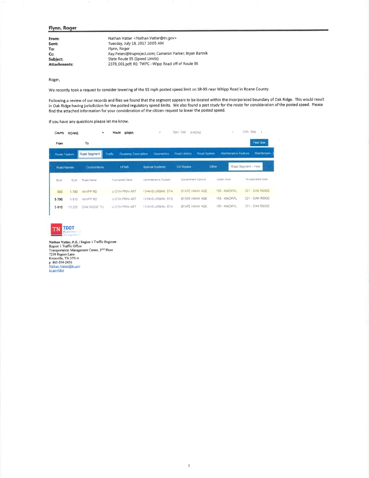## Flynn, Roger

| From:               | Nathan Vatter < Nathan. Vatter@tn.gov>                   |
|---------------------|----------------------------------------------------------|
| Sent:               | Tuesday, July 18, 2017 10:05 AM                          |
| To:                 | Flynn, Roger                                             |
| Cc:                 | Ray.Peters@truproject.com; Cameron Parker; Bryan Bartnik |
| Subject:            | State Route 95 (Speed Limits)                            |
| <b>Attachments:</b> | 2378 001.pdf; RE: TWPC--Wipp Road off of Route 95        |
|                     |                                                          |

Roger,

We recently took a request to consider lowering of the 55 mph posted speed limit on SR-95 near Whipp Road in Roane County.

Following a review of our records and files we found that the segment appears to be located within the incorporated boundary of Oak Ridge. This would result in Oak Ridge having jurisdiction for the posted regulatory speed limits. We also found a past study for the route for consideration of the posted speed. Please<br>find the attached information for your consideration of the ci

If you have any questions please let me know.

| County<br>From       | <b>ROANE</b> | To            | Route SR095                    | $\overline{\phantom{a}}$ |                     |             |                    | <b>Tind Now</b>     |
|----------------------|--------------|---------------|--------------------------------|--------------------------|---------------------|-------------|--------------------|---------------------|
| <b>Route Feature</b> |              | Road Segment  | Rosoway Description<br>Traffic | <b>Geometres</b>         | <b>Road History</b> | Road System | Mamfenance Feature | Maintenanci         |
| Road Names           |              | Control items | <b>HPMS</b>                    | Special Systems          | <b>US Routes</b>    | Other       |                    | Road Segment - View |
| <b>BUM</b>           | <b>ELM</b>   | Road Name     | Funchonal Class                | Administrative System.   | Government Control  |             | Urban Area         | incorporated Area   |
| 000                  | 5.790        | WHIPP RD      | <b>U OTH PRIN ART</b>          | <b>13-NHS URBAN, STA</b> | STATE HWAY AGE      |             | 155 - KNOXVIL      | 221 - OAK RIDGE     |
| 5790                 | 5810         | WHIPP RD      | U OTH PRIN ART                 | 13-NHS URBAN STA         | STATE HWAY AGE      |             | 155 - KNOXVIL      | 221 - OAK RIDGE     |
| 5810                 | 10 220       | OAK RIDGE TU  | <b>U OTH PRIN ART</b>          | 13-NHS URBAN STA         | STATE HWAY AGE      |             | 155 - KNOXVIL      | 221 OAK RIDGE       |



Nathan Vatter, P.E. | Region | Traffic Engineer<br>Region | Traffic Office<br>Transportation Management Center, 2<sup>ND</sup> Floor<br>7238 Region Lane<br>Knoxville, TN 37914<br>p. 865-594-2456<br>Mahan, Vatter@in.gov<br>th powldot tn.gov/tdot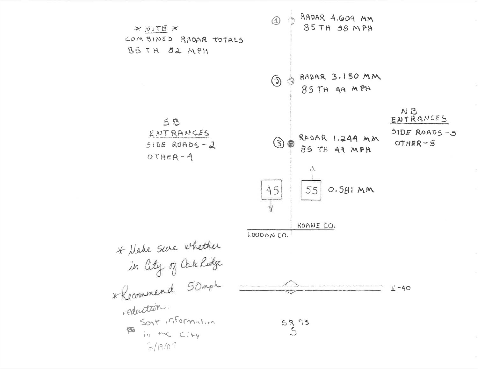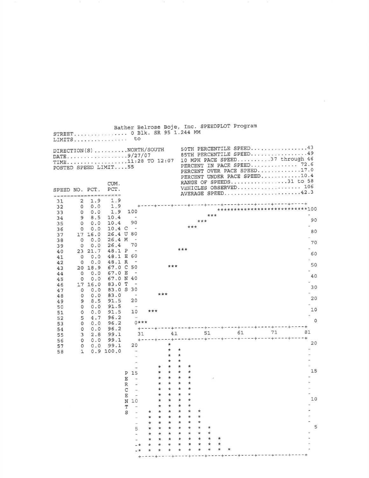|                |                   |                   | LIMITS to                                                                             |                                   |                                                      |                    |                |                      |                    |            |          |              |         | Bather Belrose Boje, Inc. SPEEDPLOT Program |    |                                                                                                                                                                                     |          |
|----------------|-------------------|-------------------|---------------------------------------------------------------------------------------|-----------------------------------|------------------------------------------------------|--------------------|----------------|----------------------|--------------------|------------|----------|--------------|---------|---------------------------------------------|----|-------------------------------------------------------------------------------------------------------------------------------------------------------------------------------------|----------|
|                |                   |                   | DIRECTION(S) NORTH/SOUTH<br>DATE9/27/07<br>TIME11:28 TO 12:07<br>POSTED SPEED LIMIT55 |                                   |                                                      |                    |                |                      |                    |            |          |              |         |                                             |    | 50TH PERCENTILE SPEED43<br>85TH PERCENTILE SPEED49<br>10 MPH PACE SPEED37 through 46<br>PERCENT IN PACE SPEED 72.6<br>PERCENT OVER PACE SPEED. 17.0<br>PERCENT UNDER PACE SPEED10.4 |          |
| SPEED NO. PCT. |                   |                   | CUM.<br>PCT.<br>*******************                                                   |                                   |                                                      |                    |                |                      |                    |            |          |              |         |                                             |    | RANGE OF SPEEDS31 to 58                                                                                                                                                             |          |
| 31<br>32       | 2<br>0<br>$\circ$ | 1.9<br>0.0<br>0.0 | 1.9<br>1.9<br>1.9                                                                     |                                   | 100                                                  |                    |                |                      |                    |            |          |              |         |                                             |    | . - - - + - - - - + - - - - + - - - + - - - - + - - - - + - - - - + - - - - + - - - + - - - + +<br>***************************100                                                   |          |
| 33<br>34       | 9                 | 8.5               | 10.4                                                                                  |                                   | $\tilde{\phantom{a}}$                                |                    |                |                      |                    |            |          | ***          |         |                                             |    |                                                                                                                                                                                     |          |
| 35             | $\circ$           | 0.0               | 10.4                                                                                  |                                   | 90                                                   |                    |                |                      |                    |            | ***      |              |         |                                             |    |                                                                                                                                                                                     | 90       |
| 36             | $\circ$           | 0.0               | $10.4 \, C$                                                                           |                                   | 80                                                   |                    |                |                      |                    | ***        |          |              |         |                                             |    |                                                                                                                                                                                     | 80       |
| 37<br>38       | $\circ$           | 17 16.0<br>0.0    | 26.4 U<br>26.4 M                                                                      |                                   | $\overline{\phantom{a}}$                             |                    |                |                      |                    |            |          |              |         |                                             |    |                                                                                                                                                                                     |          |
| 39             | $\circ$           | 0.0               | 26.4                                                                                  |                                   | 70                                                   |                    |                |                      |                    |            |          |              |         |                                             |    |                                                                                                                                                                                     | 70       |
| 40             |                   | 23 21.7           | 48.1 P                                                                                |                                   | $\overline{\phantom{0}}$<br>60                       |                    |                |                      |                    | ***        |          |              |         |                                             |    |                                                                                                                                                                                     | 60       |
| 41<br>42       | 0<br>$^{\circ}$   | 0.0<br>0.0        | 48.1 E<br>48.1 R                                                                      |                                   | $\overline{\phantom{a}}$                             |                    |                |                      |                    |            |          |              |         |                                             |    |                                                                                                                                                                                     |          |
| 43             |                   | 20 18.9           | 67.0 C                                                                                |                                   | 50                                                   |                    |                | ***                  |                    |            |          |              |         |                                             |    |                                                                                                                                                                                     | 50       |
| 44             | $\circ$           | 0.0               | 67.0 E                                                                                |                                   | -40                                                  |                    |                |                      |                    |            |          |              |         |                                             |    |                                                                                                                                                                                     | 40       |
| 45<br>46       | 0                 | 0.0<br>17 16.0    | 67.0 N<br>83.0 T                                                                      |                                   | $\sim$                                               |                    |                |                      |                    |            |          |              |         |                                             |    |                                                                                                                                                                                     |          |
| 47             | $\circ$           | 0.0               | 83.0S                                                                                 |                                   | 30                                                   |                    |                |                      |                    |            |          |              |         |                                             |    |                                                                                                                                                                                     | 30       |
| 48             | $\circ$           | 0.0               | 83.0                                                                                  |                                   | $\overline{\phantom{a}}$                             |                    | ***            |                      |                    |            |          |              |         |                                             |    |                                                                                                                                                                                     | 20       |
| 49<br>50       | 9<br>0            | 8.5<br>0.0        | 91.5<br>91.5                                                                          |                                   | 20<br>$\sim$                                         |                    |                |                      |                    |            |          |              |         |                                             |    |                                                                                                                                                                                     |          |
| 51             | 0                 | 0.0               | 91.5                                                                                  |                                   | 10                                                   | ***                |                |                      |                    |            |          |              |         |                                             |    |                                                                                                                                                                                     | 10       |
| 52             | 5                 | 4.7               | 96.2                                                                                  |                                   | Tel.<br>$0$ ***                                      |                    |                |                      |                    |            |          |              |         |                                             |    | $\sim$                                                                                                                                                                              | $\Omega$ |
| 53<br>54       | 0<br>0            | 0.0<br>0.0        | 96.2<br>96.2                                                                          |                                   |                                                      |                    |                |                      |                    |            |          |              |         |                                             |    | +----+----+----+----+----+----+----+---+---+---+                                                                                                                                    |          |
| 55             | 3                 | 2.8               | 99.1                                                                                  |                                   | 31                                                   |                    |                |                      | 41                 |            |          | 51           |         | 61                                          | 71 | 81                                                                                                                                                                                  |          |
| 56             | $\circ$           | 0.0               | 99.1                                                                                  |                                   |                                                      | <b>+----+----+</b> |                | $\star$              |                    |            |          |              |         |                                             |    |                                                                                                                                                                                     | 20       |
| 57<br>58       | 0<br>$\mathbf{1}$ | 0.0               | 99.1<br>0.9 100.0                                                                     |                                   | 20                                                   |                    |                | $\star$              | $\ast$             |            |          |              |         |                                             |    |                                                                                                                                                                                     |          |
|                |                   |                   |                                                                                       |                                   |                                                      |                    |                | $\star$              | $\star$            |            |          |              |         |                                             |    |                                                                                                                                                                                     |          |
|                |                   |                   |                                                                                       |                                   |                                                      |                    |                | $\star$<br>$\star$ . | $\star$<br>$\star$ | $\star$    |          |              |         |                                             |    |                                                                                                                                                                                     |          |
|                |                   |                   |                                                                                       | Ρ                                 | 55.<br>15                                            |                    | $*$<br>$\star$ | $\star$              | $\star$            | $\star$    |          |              |         |                                             |    |                                                                                                                                                                                     | 15       |
|                |                   |                   |                                                                                       | Е                                 | $\sim$                                               |                    | $\star$        | $\star$              | $\star$            | $\star$    |          | v.           |         |                                             |    |                                                                                                                                                                                     |          |
|                |                   |                   |                                                                                       | R                                 |                                                      |                    |                | $\star$              | $\star$            |            |          |              |         |                                             |    |                                                                                                                                                                                     |          |
|                |                   |                   |                                                                                       | C                                 | $\sim$                                               |                    | *              | *<br>*               | $\star$            | *<br>*     |          |              |         |                                             |    | $\overline{\phantom{0}}$                                                                                                                                                            |          |
|                |                   |                   |                                                                                       | $\mathbf{E}% _{0}$<br>$\mathbf N$ | $\blacksquare$<br>10                                 |                    | *              | *                    |                    | *          |          |              |         |                                             |    |                                                                                                                                                                                     | 10       |
|                |                   |                   |                                                                                       | $\mathbf T$                       | $\qquad \qquad -$                                    |                    | *              | *                    | *                  | *          |          |              |         |                                             |    |                                                                                                                                                                                     |          |
|                |                   |                   |                                                                                       | S                                 | $\sim$                                               | *                  | *              | $\star$              | *                  | *          | *        |              |         |                                             |    |                                                                                                                                                                                     |          |
|                |                   |                   |                                                                                       |                                   | $\overline{\phantom{0}}$<br>$\overline{\phantom{a}}$ | *<br>*             | *<br>*         | *<br>*               | *<br>*             | *<br>*     | *<br>×.  |              |         |                                             |    |                                                                                                                                                                                     |          |
|                |                   |                   |                                                                                       |                                   | 5                                                    | *                  | ₩              | *                    | *                  | *          | $^\star$ | *            |         |                                             |    |                                                                                                                                                                                     | 5        |
|                |                   |                   |                                                                                       |                                   | i,                                                   | *                  | *              | *                    | *                  | $^{\star}$ | ₩        | *            |         |                                             |    |                                                                                                                                                                                     |          |
|                |                   |                   |                                                                                       |                                   | $\overline{\phantom{0}}$<br>– *                      | *<br>$^\star$      | *              | ∗<br>*               | *<br>*             | *<br>*     | *<br>*   | $\star$<br>* | *<br>*  |                                             |    |                                                                                                                                                                                     |          |
|                |                   |                   |                                                                                       |                                   | - *                                                  | *                  | *              | $\ast$               | *                  | *          | *        | $^\star$     | $\star$ | $^\star$                                    |    |                                                                                                                                                                                     |          |
|                |                   |                   |                                                                                       |                                   | $+$                                                  |                    |                |                      |                    |            |          |              |         |                                             |    |                                                                                                                                                                                     |          |

 $\alpha = 1$  ,  $\alpha = 1$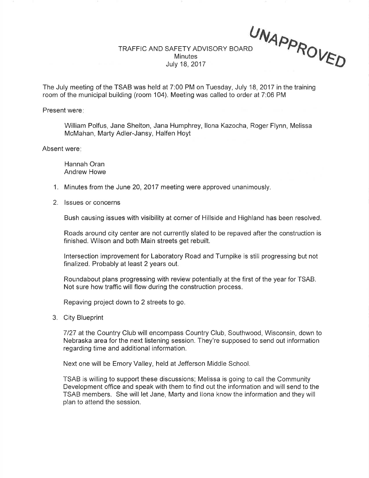TRAFFIC AND SAFETY ADVISORY BOARD **Minutes** July 18,2017 UNAPPR

 $O_{VFA}$ 

The July meeting of the TSAB was held at 7:00 PM on Tuesday, July 18,2017 in the training room of the municipal building (room 104). Meeting was called to order at 7:06 PM

Present were:

William Polfus, Jane Shelton, Jana Humphrey, llona Kazocha, Roger Flynn, Melissa McMahan, Marty Adler-Jansy, Halfen Hoyt

Absent were

Hannah Oran Andrew Howe

- 1. Minutes from the June 20, 2017 meeting were approved unanimously.
- 2. lssues or concerns

Bush causing issues with visibility at corner of Hillside and Highland has been resolved.

Roads around city center are not currently slated to be repaved after the construction is finished. Wilson and both Main streets get rebuilt.

lntersection improvement for Laboratory Road and Turnpike is still progressing but not finalized. Probably at least 2 years out.

Roundabout plans progressing with review potentially at the first of the year for TSAB. Not sure how traffic will flow during the construction process.

Repaving project down to 2 streets to go.

3. City Blueprint

7127 at the Country Club will encompass Country Club, Southwood, Wisconsin, down to Nebraska area for the next listening session. They're supposed to send out information regarding time and additional information.

Next one will be Emory Valley, held at Jefferson Middle School.

TSAB is willing to support these discussions; Melissa is going to call the Community Development office and speak with them to find out the information and will send to the TSAB members. She will let Jane, Marty and llona know the information and they will plan to attend the session.